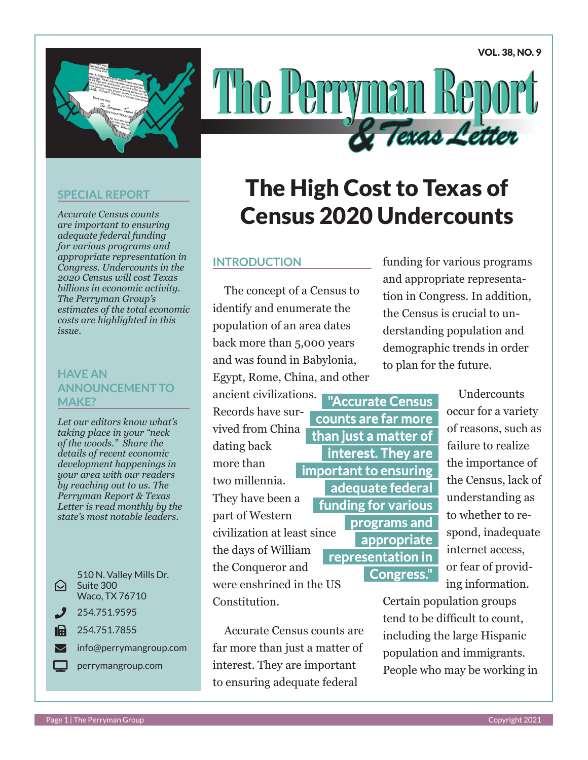VOL. 38, NO. 9



# The Perry Texas Lette

#### **SPECIAL REPORT**

*Accurate Census counts are important to ensuring adequate federal funding for various programs and appropriate representation in Congress. Undercounts in the 2020 Census will cost Texas billions in economic activity. The Perryman Group's estimates of the total economic costs are highlighted in this issue.*

#### **HAVE AN ANNOUNCEMENT TO MAKE?**

*Let our editors know what's taking place in your "neck of the woods." Share the details of recent economic development happenings in your area with our readers by reaching out to us. The Perryman Report & Texas Letter is read monthly by the state's most notable leaders.* 

#### $\Theta^-$ 510 N. Valley Mills Dr. Suite 300 Waco, TX 76710 Phone 254.751.9595  $\mathbf{F}$  254.751.7855  $\blacktriangleright$  info@perrymangroup.com perrymangroup.com

## The High Cost to Texas of Census 2020 Undercounts

#### **INTRODUCTION**

The concept of a Census to identify and enumerate the population of an area dates back more than 5,000 years and was found in Babylonia, Egypt, Rome, China, and other

ancient civilizations. Records have survived from China dating back more than two millennia. They have been a part of Western civilization at least since the days of William the Conqueror and

were enshrined in the US Constitution.

Accurate Census counts are far more than just a matter of interest. They are important to ensuring adequate federal

funding for various programs and appropriate representation in Congress. In addition, the Census is crucial to understanding population and demographic trends in order to plan for the future.

**"Accurate Census counts are far more than just a matter of interest. They are important to ensuring adequate federal funding for various programs and appropriate representation in Congress."**

**Undercounts** occur for a variety of reasons, such as failure to realize the importance of the Census, lack of understanding as to whether to respond, inadequate internet access, or fear of providing information.

Certain population groups tend to be difficult to count, including the large Hispanic population and immigrants. People who may be working in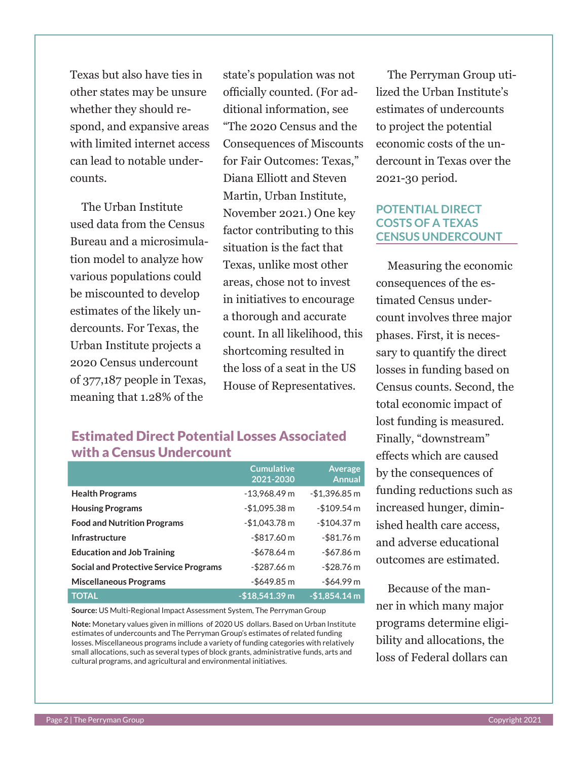Texas but also have ties in other states may be unsure whether they should respond, and expansive areas with limited internet access can lead to notable undercounts.

The Urban Institute used data from the Census Bureau and a microsimulation model to analyze how various populations could be miscounted to develop estimates of the likely undercounts. For Texas, the Urban Institute projects a 2020 Census undercount of 377,187 people in Texas, meaning that 1.28% of the

state's population was not officially counted. (For additional information, see "The 2020 Census and the Consequences of Miscounts for Fair Outcomes: Texas," Diana Elliott and Steven Martin, Urban Institute, November 2021.) One key factor contributing to this situation is the fact that Texas, unlike most other areas, chose not to invest in initiatives to encourage a thorough and accurate count. In all likelihood, this shortcoming resulted in the loss of a seat in the US House of Representatives.

#### Estimated Direct Potential Losses Associated with a Census Undercount

|                                               | <b>Cumulative</b><br>2021-2030 | <b>Average</b><br><b>Annual</b> |
|-----------------------------------------------|--------------------------------|---------------------------------|
| <b>Health Programs</b>                        | $-13,968.49$ m                 | $-$1,396.85$ m                  |
| <b>Housing Programs</b>                       | $-$1,095.38 m$                 | $-$109.54 m$                    |
| <b>Food and Nutrition Programs</b>            | $-$1.043.78 m$                 | $-$104.37 m$                    |
| <b>Infrastructure</b>                         | $-$ \$817.60 m                 | $-$ \$81.76 m                   |
| <b>Education and Job Training</b>             | $-$678.64 m$                   | $-$ \$67.86 m                   |
| <b>Social and Protective Service Programs</b> | $-$ \$287.66 m                 | $-$ \$28.76 m                   |
| <b>Miscellaneous Programs</b>                 | $-$ \$649.85 m                 | $-$ \$64.99 m                   |
| <b>TOTAL</b>                                  | $-$18,541.39$ m                | $-$1,854.14 m$                  |

**Source:** US Multi-Regional Impact Assessment System, The Perryman Group

**Note:** Monetary values given in millions of 2020 US dollars. Based on Urban Institute estimates of undercounts and The Perryman Group's estimates of related funding losses. Miscellaneous programs include a variety of funding categories with relatively small allocations, such as several types of block grants, administrative funds, arts and cultural programs, and agricultural and environmental initiatives.

The Perryman Group utilized the Urban Institute's estimates of undercounts to project the potential economic costs of the undercount in Texas over the 2021-30 period.

#### **POTENTIAL DIRECT COSTS OF A TEXAS CENSUS UNDERCOUNT**

Measuring the economic consequences of the estimated Census undercount involves three major phases. First, it is necessary to quantify the direct losses in funding based on Census counts. Second, the total economic impact of lost funding is measured. Finally, "downstream" effects which are caused by the consequences of funding reductions such as increased hunger, diminished health care access, and adverse educational outcomes are estimated.

Because of the manner in which many major programs determine eligibility and allocations, the loss of Federal dollars can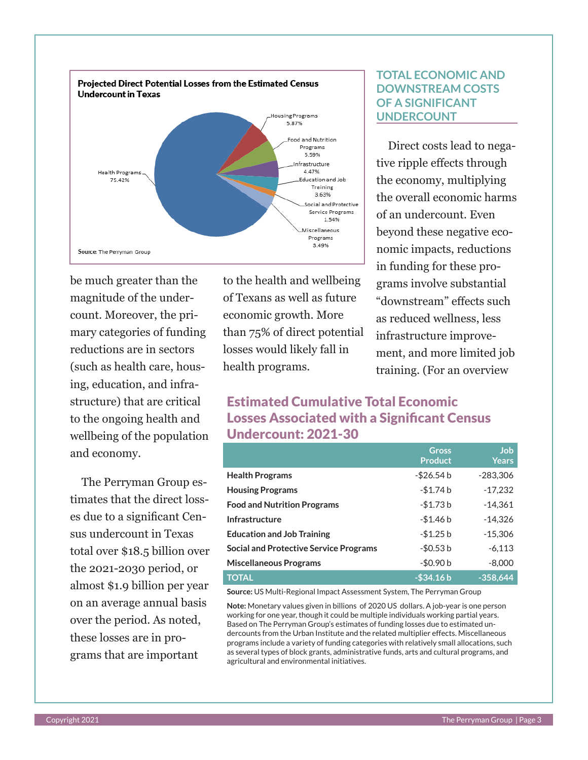

be much greater than the magnitude of the undercount. Moreover, the primary categories of funding reductions are in sectors (such as health care, housing, education, and infrastructure) that are critical to the ongoing health and wellbeing of the population and economy.

The Perryman Group estimates that the direct losses due to a significant Census undercount in Texas total over \$18.5 billion over the 2021-2030 period, or almost \$1.9 billion per year on an average annual basis over the period. As noted, these losses are in programs that are important

to the health and wellbeing of Texans as well as future economic growth. More than 75% of direct potential losses would likely fall in health programs.

#### **TOTAL ECONOMIC AND DOWNSTREAM COSTS OF A SIGNIFICANT UNDERCOUNT**

Direct costs lead to negative ripple effects through the economy, multiplying the overall economic harms of an undercount. Even beyond these negative economic impacts, reductions in funding for these programs involve substantial "downstream" effects such as reduced wellness, less infrastructure improvement, and more limited job training. (For an overview

### Estimated Cumulative Total Economic Losses Associated with a Significant Census Undercount: 2021-30

|                                               | <b>Gross</b><br><b>Product</b> | <b>Job</b><br><b>Years</b> |
|-----------------------------------------------|--------------------------------|----------------------------|
| <b>Health Programs</b>                        | -\$26.54 b                     | $-283,306$                 |
| <b>Housing Programs</b>                       | $-$1.74 b$                     | $-17,232$                  |
| <b>Food and Nutrition Programs</b>            | $-$1.73 b$                     | $-14.361$                  |
| Infrastructure                                | $-$1.46 b$                     | $-14,326$                  |
| <b>Education and Job Training</b>             | $-$1.25 b$                     | $-15,306$                  |
| <b>Social and Protective Service Programs</b> | $-$ \$0.53 b                   | $-6,113$                   |
| <b>Miscellaneous Programs</b>                 | $-$0.90 b$                     | $-8,000$                   |
| <b>TOTAL</b>                                  | $-$ \$34.16 $b$                | $-358,644$                 |

**Source:** US Multi-Regional Impact Assessment System, The Perryman Group

**Note:** Monetary values given in billions of 2020 US dollars. A job-year is one person working for one year, though it could be multiple individuals working partial years. Based on The Perryman Group's estimates of funding losses due to estimated undercounts from the Urban Institute and the related multiplier effects. Miscellaneous programs include a variety of funding categories with relatively small allocations, such as several types of block grants, administrative funds, arts and cultural programs, and agricultural and environmental initiatives.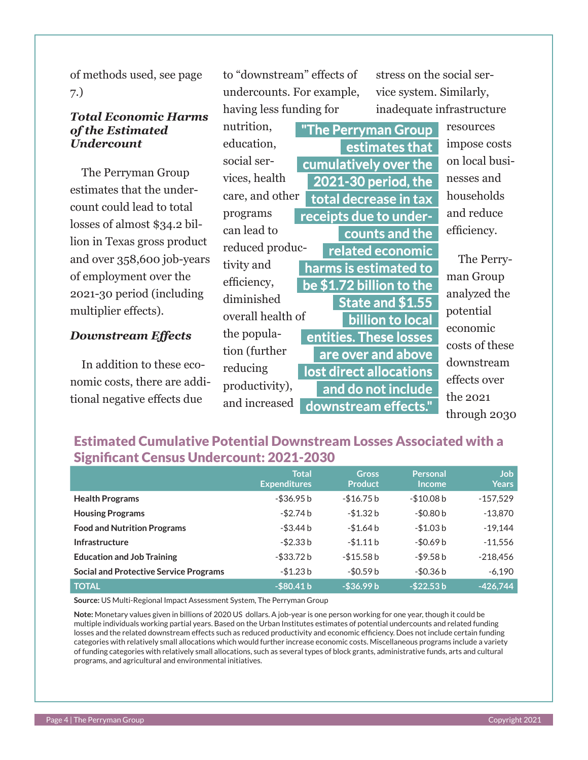of methods used, see page 7.)

#### *Total Economic Harms of the Estimated Undercount*

The Perryman Group estimates that the undercount could lead to total losses of almost \$34.2 billion in Texas gross product and over 358,600 job-years of employment over the 2021-30 period (including multiplier effects).

#### *Downstream Effects*

In addition to these economic costs, there are additional negative effects due

to "downstream" effects of undercounts. For example, having less funding for

stress on the social service system. Similarly, inadequate infrastructure

nutrition, education, social services, health care, and other programs can lead to reduced productivity and efficiency, diminished overall health of the population (further reducing productivity), and increased **"The Perryman Group estimates that cumulatively over the 2021-30 period, the total decrease in tax receipts due to undercounts and the related economic harms is estimated to be \$1.72 billion to the State and \$1.55 billion to local entities. These losses are over and above lost direct allocations and do not include downstream effects."**

resources impose costs on local businesses and households and reduce efficiency.

The Perryman Group analyzed the potential economic costs of these downstream effects over the 2021 through 2030

#### Estimated Cumulative Potential Downstream Losses Associated with a Significant Census Undercount: 2021-2030

|                                               | <b>Total</b><br><b>Expenditures</b> | <b>Gross</b><br><b>Product</b> | <b>Personal</b><br><b>Income</b> | <b>Job</b><br><b>Years</b> |
|-----------------------------------------------|-------------------------------------|--------------------------------|----------------------------------|----------------------------|
| <b>Health Programs</b>                        | -\$36.95 b                          | $-$ \$16.75 b                  | $-$10.08 b$                      | $-157,529$                 |
| <b>Housing Programs</b>                       | $-$ \$2.74 b                        | $-$1.32 b$                     | $-$0.80 b$                       | $-13,870$                  |
| <b>Food and Nutrition Programs</b>            | $-$ \$3.44 b                        | $-$1.64 b$                     | $-$1.03 b$                       | $-19.144$                  |
| Infrastructure                                | -\$2.33 b                           | $-$1.11b$                      | $-50.69b$                        | $-11,556$                  |
| <b>Education and Job Training</b>             | -\$33.72 b                          | $-$ \$15.58 b                  | $-$ \$9.58 b                     | $-218,456$                 |
| <b>Social and Protective Service Programs</b> | $-$1.23 b$                          | $-$ \$0.59 b                   | $-$ \$0.36 b                     | $-6,190$                   |
| <b>TOTAL</b>                                  | $-$80.41 b$                         | $-$36.99 b$                    | $-$ \$22.53 b                    | $-426,744$                 |

**Source:** US Multi-Regional Impact Assessment System, The Perryman Group

**Note:** Monetary values given in billions of 2020 US dollars. A job-year is one person working for one year, though it could be multiple individuals working partial years. Based on the Urban Institutes estimates of potential undercounts and related funding losses and the related downstream effects such as reduced productivity and economic efficiency. Does not include certain funding categories with relatively small allocations which would further increase economic costs. Miscellaneous programs include a variety of funding categories with relatively small allocations, such as several types of block grants, administrative funds, arts and cultural programs, and agricultural and environmental initiatives.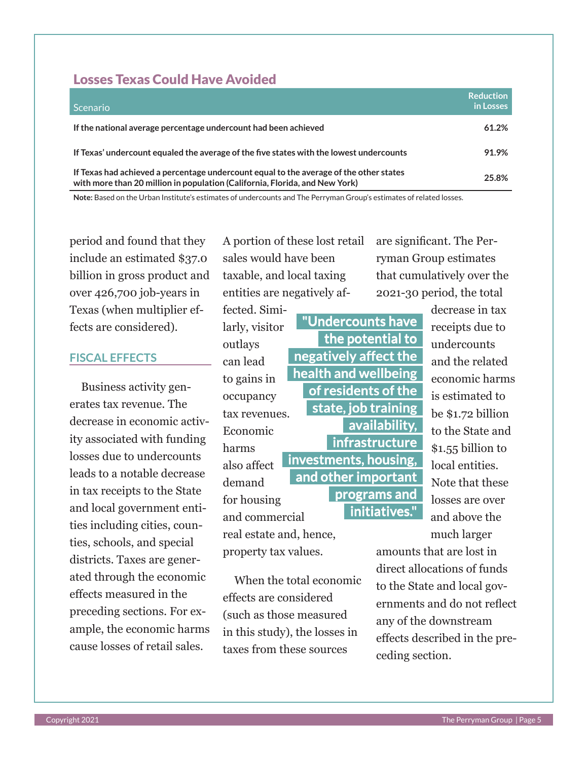#### Losses Texas Could Have Avoided

| Scenario <del>d</del>                                                                                                                                                 | <b>Reduction</b><br>in Losses |
|-----------------------------------------------------------------------------------------------------------------------------------------------------------------------|-------------------------------|
| If the national average percentage undercount had been achieved                                                                                                       | 61.2%                         |
| If Texas' undercount equaled the average of the five states with the lowest undercounts                                                                               | 91.9%                         |
| If Texas had achieved a percentage undercount equal to the average of the other states<br>with more than 20 million in population (California, Florida, and New York) | 25.8%                         |

**Note:** Based on the Urban Institute's estimates of undercounts and The Perryman Group's estimates of related losses.

outlays

harms

period and found that they include an estimated \$37.0 billion in gross product and over 426,700 job-years in Texas (when multiplier effects are considered).

#### **FISCAL EFFECTS**

Business activity generates tax revenue. The decrease in economic activity associated with funding losses due to undercounts leads to a notable decrease in tax receipts to the State and local government entities including cities, counties, schools, and special districts. Taxes are generated through the economic effects measured in the preceding sections. For example, the economic harms cause losses of retail sales.

A portion of these lost retail sales would have been taxable, and local taxing entities are negatively af-

fected. Similarly, visitor can lead to gains in occupancy tax revenues. Economic also affect demand for housing and commercial **"Undercounts have the potential to negatively affect the health and wellbeing of residents of the state, job training availability, infrastructure investments, housing, and other important programs and initiatives."**

real estate and, hence, property tax values.

When the total economic effects are considered (such as those measured in this study), the losses in taxes from these sources

are significant. The Perryman Group estimates that cumulatively over the 2021-30 period, the total

> decrease in tax receipts due to undercounts and the related economic harms is estimated to be \$1.72 billion to the State and \$1.55 billion to local entities. Note that these losses are over and above the much larger

amounts that are lost in direct allocations of funds to the State and local governments and do not reflect any of the downstream effects described in the preceding section.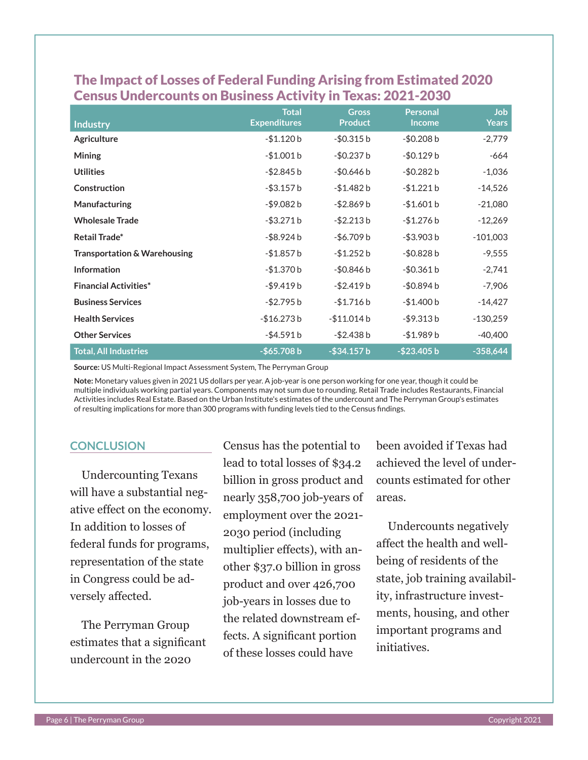| <b>Industry</b>                         | <b>Total</b><br><b>Expenditures</b> | <b>Gross</b><br><b>Product</b> | <b>Personal</b><br><b>Income</b> | Job<br><b>Years</b> |
|-----------------------------------------|-------------------------------------|--------------------------------|----------------------------------|---------------------|
| <b>Agriculture</b>                      | $-$1.120 b$                         | $-$ \$0.315 b                  | $-$0.208 b$                      | $-2,779$            |
| <b>Mining</b>                           | $-$1.001 b$                         | $-$0.237 b$                    | $-$0.129 b$                      | -664                |
| <b>Utilities</b>                        | $-$ \$2.845 b                       | $-$0.646 b$                    | $-$0.282 b$                      | $-1,036$            |
| Construction                            | $-$ \$3.157 b                       | $-$1.482 b$                    | $-$1.221 b$                      | $-14,526$           |
| Manufacturing                           | $-$ \$9.082 b                       | $-$ \$2.869 b                  | $-$1.601 b$                      | $-21,080$           |
| <b>Wholesale Trade</b>                  | $-$ \$3.271 $b$                     | $-$ \$2.213 b                  | $-$1.276 b$                      | $-12,269$           |
| Retail Trade*                           | -\$8.924 b                          | $-$ \$6.709 b                  | $-$ \$3.903 b                    | $-101,003$          |
| <b>Transportation &amp; Warehousing</b> | $-$1.857 b$                         | $-$1.252 b$                    | $-$0.828 b$                      | $-9,555$            |
| <b>Information</b>                      | $-$1.370 b$                         | $-$0.846 b$                    | $-$ \$0.361 b                    | $-2,741$            |
| <b>Financial Activities*</b>            | -\$9.419b                           | $-$ \$2.419 b                  | $-$0.894 b$                      | $-7,906$            |
| <b>Business Services</b>                | $-$ \$2.795 b                       | $-$1.716 b$                    | $-$1.400 b$                      | $-14,427$           |
| <b>Health Services</b>                  | $-$16.273 b$                        | -\$11.014 b                    | $-$ \$9.313 b                    | $-130,259$          |
| <b>Other Services</b>                   | $-$ \$4.591 b                       | $-$ \$2.438 b                  | $-$1.989 b$                      | $-40,400$           |
| <b>Total, All Industries</b>            | $-$65.708 b$                        | $-$ \$34.157 b                 | $-$23.405 b$                     | $-358,644$          |

### The Impact of Losses of Federal Funding Arising from Estimated 2020 Census Undercounts on Business Activity in Texas: 2021-2030

**Source:** US Multi-Regional Impact Assessment System, The Perryman Group

**Note:** Monetary values given in 2021 US dollars per year. A job-year is one person working for one year, though it could be multiple individuals working partial years. Components may not sum due to rounding. Retail Trade includes Restaurants, Financial Activities includes Real Estate. Based on the Urban Institute's estimates of the undercount and The Perryman Group's estimates of resulting implications for more than 300 programs with funding levels tied to the Census findings.

#### **CONCLUSION**

Undercounting Texans will have a substantial negative effect on the economy. In addition to losses of federal funds for programs, representation of the state in Congress could be adversely affected.

The Perryman Group estimates that a significant undercount in the 2020

Census has the potential to lead to total losses of \$34.2 billion in gross product and nearly 358,700 job-years of employment over the 2021- 2030 period (including multiplier effects), with another \$37.0 billion in gross product and over 426,700 job-years in losses due to the related downstream effects. A significant portion of these losses could have

been avoided if Texas had achieved the level of undercounts estimated for other areas.

Undercounts negatively affect the health and wellbeing of residents of the state, job training availability, infrastructure investments, housing, and other important programs and initiatives.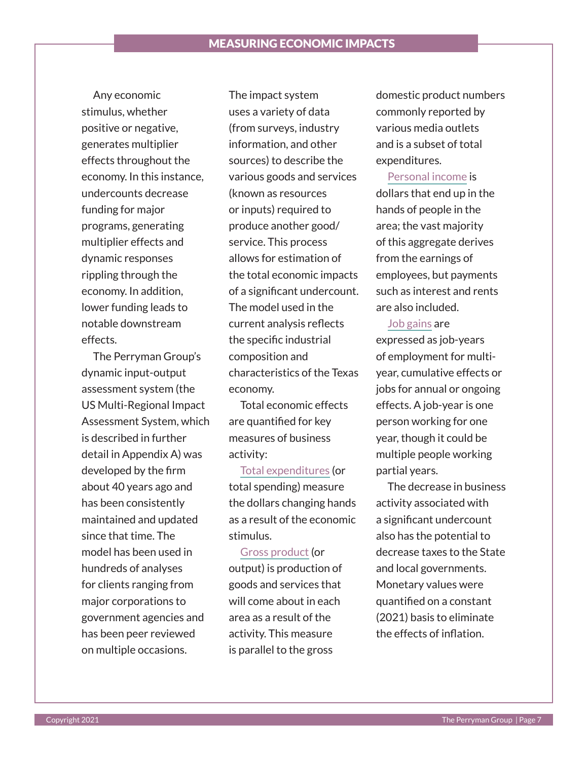Any economic stimulus, whether positive or negative, generates multiplier effects throughout the economy. In this instance, undercounts decrease funding for major programs, generating multiplier effects and dynamic responses rippling through the economy. In addition, lower funding leads to notable downstream effects.

The Perryman Group's dynamic input-output assessment system (the US Multi-Regional Impact Assessment System, which is described in further detail in Appendix A) was developed by the firm about 40 years ago and has been consistently maintained and updated since that time. The model has been used in hundreds of analyses for clients ranging from major corporations to government agencies and has been peer reviewed on multiple occasions.

The impact system uses a variety of data (from surveys, industry information, and other sources) to describe the various goods and services (known as resources or inputs) required to produce another good/ service. This process allows for estimation of the total economic impacts of a significant undercount. The model used in the current analysis reflects the specific industrial composition and characteristics of the Texas economy.

Total economic effects are quantified for key measures of business activity:

Total expenditures (or total spending) measure the dollars changing hands as a result of the economic stimulus.

Gross product (or output) is production of goods and services that will come about in each area as a result of the activity. This measure is parallel to the gross

domestic product numbers commonly reported by various media outlets and is a subset of total expenditures.

Personal income is dollars that end up in the hands of people in the area; the vast majority of this aggregate derives from the earnings of employees, but payments such as interest and rents are also included.

#### Job gains are

expressed as job-years of employment for multiyear, cumulative effects or jobs for annual or ongoing effects. A job-year is one person working for one year, though it could be multiple people working partial years.

The decrease in business activity associated with a significant undercount also has the potential to decrease taxes to the State and local governments. Monetary values were quantified on a constant (2021) basis to eliminate the effects of inflation.